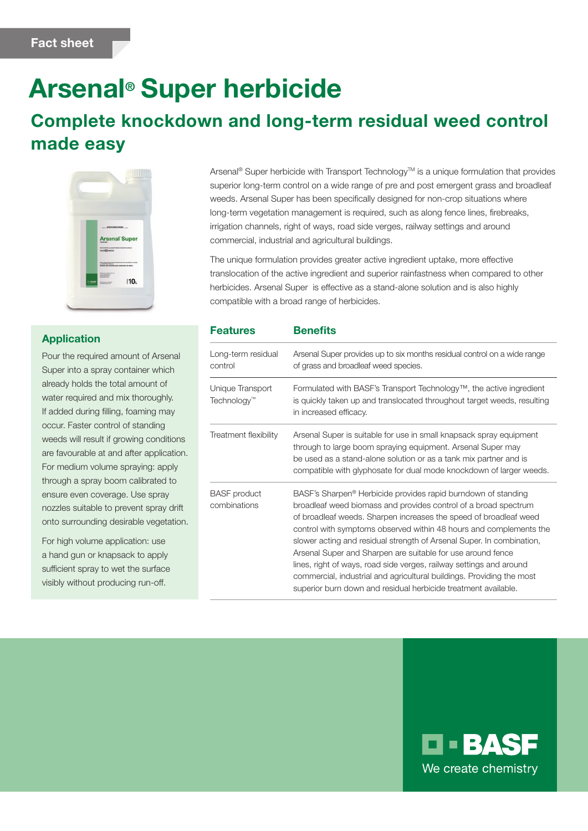# Arsenal® Super herbicide

## Complete knockdown and long-term residual weed control made easy



#### Application

Pour the required amount of Arsenal Super into a spray container which already holds the total amount of water required and mix thoroughly. If added during filling, foaming may occur. Faster control of standing weeds will result if growing conditions are favourable at and after application. For medium volume spraying: apply through a spray boom calibrated to ensure even coverage. Use spray nozzles suitable to prevent spray drift onto surrounding desirable vegetation.

For high volume application: use a hand gun or knapsack to apply sufficient spray to wet the surface visibly without producing run-off.

Arsenal® Super herbicide with Transport Technology™ is a unique formulation that provides superior long-term control on a wide range of pre and post emergent grass and broadleaf weeds. Arsenal Super has been specifically designed for non-crop situations where long-term vegetation management is required, such as along fence lines, firebreaks, irrigation channels, right of ways, road side verges, railway settings and around commercial, industrial and agricultural buildings.

The unique formulation provides greater active ingredient uptake, more effective translocation of the active ingredient and superior rainfastness when compared to other herbicides. Arsenal Super is effective as a stand-alone solution and is also highly compatible with a broad range of herbicides.

| <b>Features</b>                             | <b>Benefits</b>                                                                                                                                                                                                                                                                                                                                                                                                                                                                                                                                                                                                                                   |
|---------------------------------------------|---------------------------------------------------------------------------------------------------------------------------------------------------------------------------------------------------------------------------------------------------------------------------------------------------------------------------------------------------------------------------------------------------------------------------------------------------------------------------------------------------------------------------------------------------------------------------------------------------------------------------------------------------|
| Long-term residual<br>control               | Arsenal Super provides up to six months residual control on a wide range<br>of grass and broadleaf weed species.                                                                                                                                                                                                                                                                                                                                                                                                                                                                                                                                  |
| Unique Transport<br>Technology <sup>™</sup> | Formulated with BASF's Transport Technology™, the active ingredient<br>is quickly taken up and translocated throughout target weeds, resulting<br>in increased efficacy.                                                                                                                                                                                                                                                                                                                                                                                                                                                                          |
| Treatment flexibility                       | Arsenal Super is suitable for use in small knapsack spray equipment<br>through to large boom spraying equipment. Arsenal Super may<br>be used as a stand-alone solution or as a tank mix partner and is<br>compatible with glyphosate for dual mode knockdown of larger weeds.                                                                                                                                                                                                                                                                                                                                                                    |
| <b>BASF</b> product<br>combinations         | BASF's Sharpen <sup>®</sup> Herbicide provides rapid burndown of standing<br>broadleaf weed biomass and provides control of a broad spectrum<br>of broadleaf weeds. Sharpen increases the speed of broadleaf weed<br>control with symptoms observed within 48 hours and complements the<br>slower acting and residual strength of Arsenal Super. In combination,<br>Arsenal Super and Sharpen are suitable for use around fence<br>lines, right of ways, road side verges, railway settings and around<br>commercial, industrial and agricultural buildings. Providing the most<br>superior burn down and residual herbicide treatment available. |